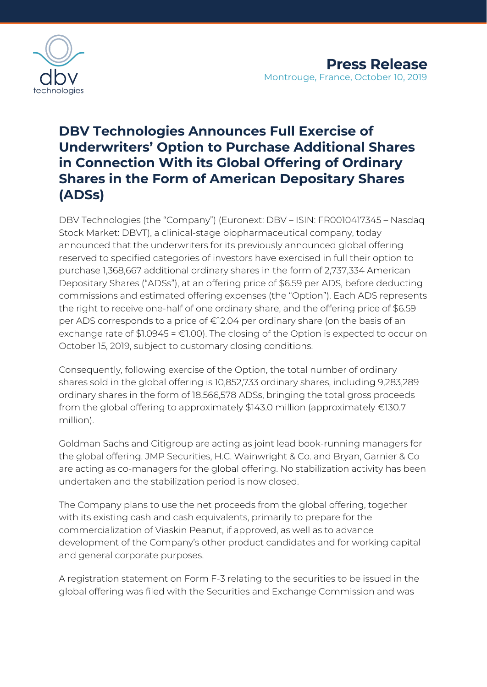

# **DBV Technologies Announces Full Exercise of Underwriters' Option to Purchase Additional Shares in Connection With its Global Offering of Ordinary Shares in the Form of American Depositary Shares (ADSs)**

DBV Technologies (the "Company") (Euronext: DBV – ISIN: FR0010417345 – Nasdaq Stock Market: DBVT), a clinical-stage biopharmaceutical company, today announced that the underwriters for its previously announced global offering reserved to specified categories of investors have exercised in full their option to purchase 1,368,667 additional ordinary shares in the form of 2,737,334 American Depositary Shares ("ADSs"), at an offering price of \$6.59 per ADS, before deducting commissions and estimated offering expenses (the "Option"). Each ADS represents the right to receive one-half of one ordinary share, and the offering price of \$6.59 per ADS corresponds to a price of €12.04 per ordinary share (on the basis of an exchange rate of  $$1.0945 = £1.00$ . The closing of the Option is expected to occur on October 15, 2019, subject to customary closing conditions.

Consequently, following exercise of the Option, the total number of ordinary shares sold in the global offering is 10,852,733 ordinary shares, including 9,283,289 ordinary shares in the form of 18,566,578 ADSs, bringing the total gross proceeds from the global offering to approximately \$143.0 million (approximately €130.7 million).

Goldman Sachs and Citigroup are acting as joint lead book-running managers for the global offering. JMP Securities, H.C. Wainwright & Co. and Bryan, Garnier & Co are acting as co-managers for the global offering. No stabilization activity has been undertaken and the stabilization period is now closed.

The Company plans to use the net proceeds from the global offering, together with its existing cash and cash equivalents, primarily to prepare for the commercialization of Viaskin Peanut, if approved, as well as to advance development of the Company's other product candidates and for working capital and general corporate purposes.

A registration statement on Form F-3 relating to the securities to be issued in the global offering was filed with the Securities and Exchange Commission and was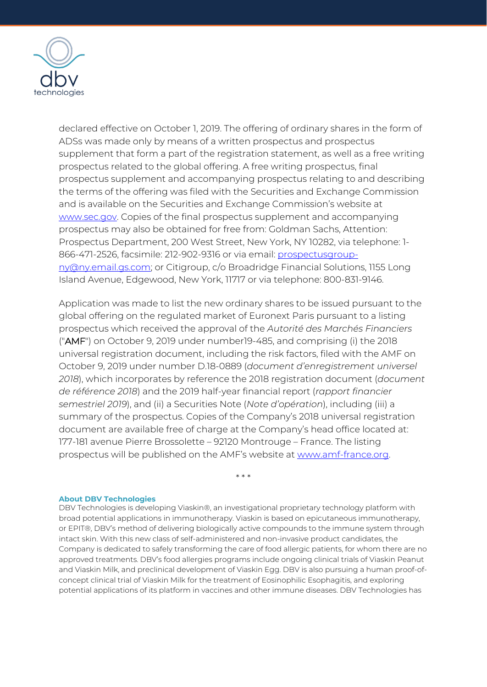

declared effective on October 1, 2019. The offering of ordinary shares in the form of ADSs was made only by means of a written prospectus and prospectus supplement that form a part of the registration statement, as well as a free writing prospectus related to the global offering. A free writing prospectus, final prospectus supplement and accompanying prospectus relating to and describing the terms of the offering was filed with the Securities and Exchange Commission and is available on the Securities and Exchange Commission's website at [www.sec.gov.](http://www.sec.gov/) Copies of the final prospectus supplement and accompanying prospectus may also be obtained for free from: Goldman Sachs, Attention: Prospectus Department, 200 West Street, New York, NY 10282, via telephone: 1- 866-471-2526, facsimile: 212-902-9316 or via email: [prospectusgroup](mailto:prospectusgroup-ny@ny.email.gs.com)[ny@ny.email.gs.com;](mailto:prospectusgroup-ny@ny.email.gs.com) or Citigroup, c/o Broadridge Financial Solutions, 1155 Long Island Avenue, Edgewood, New York, 11717 or via telephone: 800-831-9146.

Application was made to list the new ordinary shares to be issued pursuant to the global offering on the regulated market of Euronext Paris pursuant to a listing prospectus which received the approval of the *Autorité des Marchés Financiers*  ("AMF") on October 9, 2019 under number19-485, and comprising (i) the 2018 universal registration document, including the risk factors, filed with the AMF on October 9, 2019 under number D.18-0889 (*document d'enregistrement universel 2018*), which incorporates by reference the 2018 registration document (*document de référence 2018*) and the 2019 half-year financial report (*rapport financier semestriel 2019*), and (ii) a Securities Note (*Note d'opération*), including (iii) a summary of the prospectus. Copies of the Company's 2018 universal registration document are available free of charge at the Company's head office located at: 177-181 avenue Pierre Brossolette – 92120 Montrouge – France. The listing prospectus will be published on the AMF's website at [www.amf-france.org.](http://www.amf-france.org/)

\* \* \*

### **About DBV Technologies**

DBV Technologies is developing Viaskin®, an investigational proprietary technology platform with broad potential applications in immunotherapy. Viaskin is based on epicutaneous immunotherapy, or EPIT®, DBV's method of delivering biologically active compounds to the immune system through intact skin. With this new class of self-administered and non-invasive product candidates, the Company is dedicated to safely transforming the care of food allergic patients, for whom there are no approved treatments. DBV's food allergies programs include ongoing clinical trials of Viaskin Peanut and Viaskin Milk, and preclinical development of Viaskin Egg. DBV is also pursuing a human proof-ofconcept clinical trial of Viaskin Milk for the treatment of Eosinophilic Esophagitis, and exploring potential applications of its platform in vaccines and other immune diseases. DBV Technologies has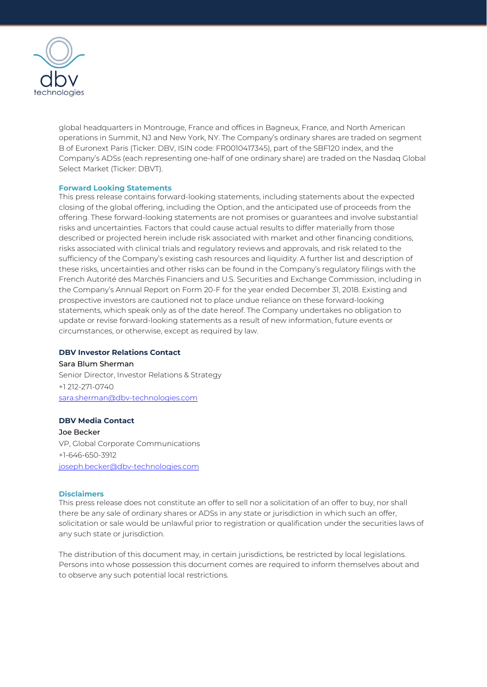

global headquarters in Montrouge, France and offices in Bagneux, France, and North American operations in Summit, NJ and New York, NY. The Company's ordinary shares are traded on segment B of Euronext Paris (Ticker: DBV, ISIN code: FR0010417345), part of the SBF120 index, and the Company's ADSs (each representing one-half of one ordinary share) are traded on the Nasdaq Global Select Market (Ticker: DBVT).

### **Forward Looking Statements**

This press release contains forward-looking statements, including statements about the expected closing of the global offering, including the Option, and the anticipated use of proceeds from the offering. These forward-looking statements are not promises or guarantees and involve substantial risks and uncertainties. Factors that could cause actual results to differ materially from those described or projected herein include risk associated with market and other financing conditions, risks associated with clinical trials and regulatory reviews and approvals, and risk related to the sufficiency of the Company's existing cash resources and liquidity. A further list and description of these risks, uncertainties and other risks can be found in the Company's regulatory filings with the French Autorité des Marchés Financiers and U.S. Securities and Exchange Commission, including in the Company's Annual Report on Form 20-F for the year ended December 31, 2018. Existing and prospective investors are cautioned not to place undue reliance on these forward-looking statements, which speak only as of the date hereof. The Company undertakes no obligation to update or revise forward-looking statements as a result of new information, future events or circumstances, or otherwise, except as required by law.

### **DBV Investor Relations Contact**

Sara Blum Sherman Senior Director, Investor Relations & Strategy +1 212-271-0740 [sara.sherman@dbv-technologies.com](mailto:sara.sherman@dbv-technologies.com)

## **DBV Media Contact**

Joe Becker VP, Global Corporate Communications +1-646-650-3912 [joseph.becker@dbv-technologies.com](mailto:joseph.becker@dbv-technologies.com)

### **Disclaimers**

This press release does not constitute an offer to sell nor a solicitation of an offer to buy, nor shall there be any sale of ordinary shares or ADSs in any state or jurisdiction in which such an offer, solicitation or sale would be unlawful prior to registration or qualification under the securities laws of any such state or jurisdiction.

The distribution of this document may, in certain jurisdictions, be restricted by local legislations. Persons into whose possession this document comes are required to inform themselves about and to observe any such potential local restrictions.